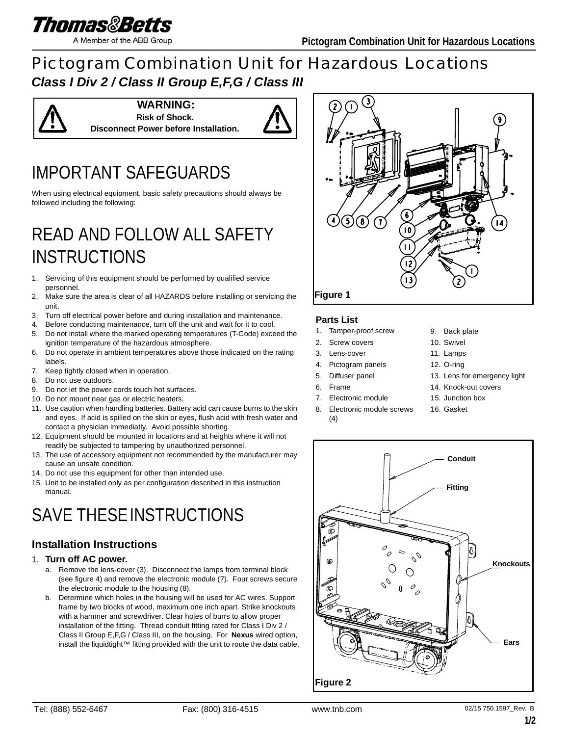

A Member of the ABB Group

### Pictogram Combination Unit for Hazardous Locations *Class I Div 2 / Class II Group E,F,G / Class III*



**WARNING: Risk of Shock. Disconnect Power before Installation.**



# IMPORTANT SAFEGUARDS

When using electrical equipment, basic safety precautions should always be followed including the following:

### READ AND FOLLOW ALL SAFETY INSTRUCTIONS

- 1. Servicing of this equipment should be performed by qualified service personnel.
- 2. Make sure the area is clear of all HAZARDS before installing or servicing the unit.
- 3. Turn off electrical power before and during installation and maintenance.
- 4. Before conducting maintenance, turn off the unit and wait for it to cool.
- 5. Do not install where the marked operating temperatures (T-Code) exceed the ignition temperature of the hazardous atmosphere.
- 6. Do not operate in ambient temperatures above those indicated on the rating labels.
- 7. Keep tightly closed when in operation.
- 8. Do not use outdoors.
- 9. Do not let the power cords touch hot surfaces.
- 10. Do not mount near gas or electric heaters.
- 11. Use caution when handling batteries. Battery acid can cause burns to the skin and eyes. If acid is spilled on the skin or eyes, flush acid with fresh water and contact a physician immediatly. Avoid possible shorting.
- 12. Equipment should be mounted in locations and at heights where it will not readily be subjected to tampering by unauthorized personnel.
- 13. The use of accessory equipment not recommended by the manufacturer may cause an unsafe condition.
- 14. Do not use this equipment for other than intended use.
- 15. Unit to be installed only as per configuration described in this instruction manual.

# SAVE THESE INSTRUCTIONS

### **Installation Instructions**

#### 1. **Turn off AC power.**

- a. Remove the lens-cover (3). Disconnect the lamps from terminal block (see figure 4) and remove the electronic module (7). Four screws secure the electronic module to the housing (8).
- b. Determine which holes in the housing will be used for AC wires. Support frame by two blocks of wood, maximum one inch apart. Strike knockouts with a hammer and screwdriver. Clear holes of burrs to allow proper installation of the fitting. Thread conduit fitting rated for Class I Div 2 / Class II Group E,F,G / Class III, on the housing. For **Nexus** wired option, install the liquidtight™ fitting provided with the unit to route the data cable.



#### **Parts List**

- 1. Tamper-proof screw
- 2. Screw covers
- 3. Lens-cover
- 4. Pictogram panels
- 5. Diffuser panel
- 6. Frame
- 7. Electronic module
- 8. Electronic module screws  $(4)$
- 9. Back plate
- 10. Swivel
- 11. Lamps
- 12. O-ring
- 13. Lens for emergency light
- 14. Knock-out covers
- 15. Junction box
	- 16. Gasket